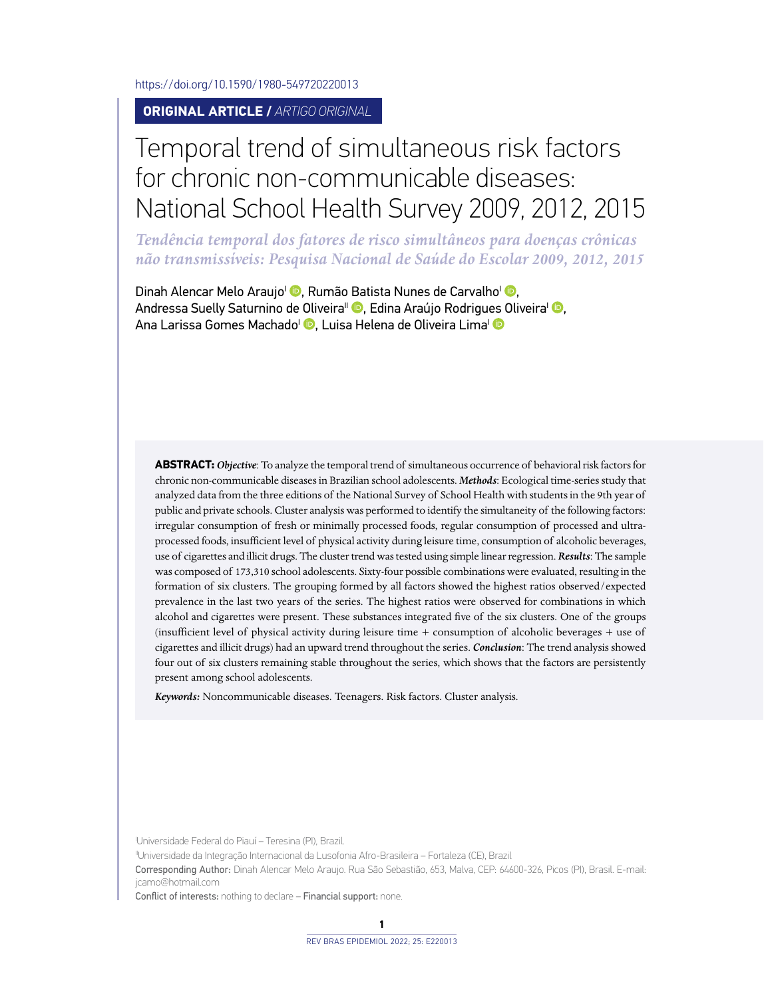<https://doi.org/10.1590/1980-549720220013>

**ORIGINAL ARTICLE /** *ARTIGO ORIGINAL*

# Temporal trend of simultaneous risk factors for chronic non-communicable diseases: National School Health Survey 2009, 2012, 2015

*Tendência temporal dos fatores de risco simultâneos para doenças crônicas não transmissíveis: Pesquisa Nacional de Saúde do Escolar 2009, 2012, 2015*

Dinah Alencar Melo Araujo<sup>I</sup> <sup>(D</sup>[,](https://orcid.org/0000-0002-1734-7487) Rumão Batista Nunes de Carvalho<sup>I</sup> <sup>(D</sup>, Andressa Suelly Saturnino de Oliveira<sup>II</sup> [,](https://orcid.org/0000-0002-6352-4202) Edina Araújo Rodrigu[es O](http://orcid.org/0000-0002-1890-859X)liveira<sup>I</sup> **D**, Ana Larissa Gomes Machado<sup>l (D</sup>[,](https://orcid.org/0000-0002-7937-6996) Luisa Helena de Oliveira Lima<sup>l (D</sup>

**ABSTRACT:***Objective*: To analyze the temporal trend of simultaneous occurrence of behavioral risk factors for chronic non-communicable diseases in Brazilian school adolescents. *Methods*: Ecological time-series study that analyzed data from the three editions of the National Survey of School Health with students in the 9th year of public and private schools. Cluster analysis was performed to identify the simultaneity of the following factors: irregular consumption of fresh or minimally processed foods, regular consumption of processed and ultraprocessed foods, insufficient level of physical activity during leisure time, consumption of alcoholic beverages, use of cigarettes and illicit drugs. The cluster trend was tested using simple linear regression. *Results*: The sample was composed of 173,310 school adolescents. Sixty-four possible combinations were evaluated, resulting in the formation of six clusters. The grouping formed by all factors showed the highest ratios observed/expected prevalence in the last two years of the series. The highest ratios were observed for combinations in which alcohol and cigarettes were present. These substances integrated five of the six clusters. One of the groups (insufficient level of physical activity during leisure time + consumption of alcoholic beverages + use of cigarettes and illicit drugs) had an upward trend throughout the series. *Conclusion*: The trend analysis showed four out of six clusters remaining stable throughout the series, which shows that the factors are persistently present among school adolescents.

*Keywords:* Noncommunicable diseases. Teenagers. Risk factors. Cluster analysis.

I Universidade Federal do Piauí – Teresina (PI), Brazil.

IIUniversidade da Integração Internacional da Lusofonia Afro-Brasileira – Fortaleza (CE), Brazil

Corresponding Author: Dinah Alencar Melo Araujo. Rua São Sebastião, 653, Malva, CEP: 64600-326, Picos (PI), Brasil. E-mail: [jcamo@hotmail.com](mailto:jcamo@hotmail.com)

Conflict of interests: nothing to declare – Financial support: none.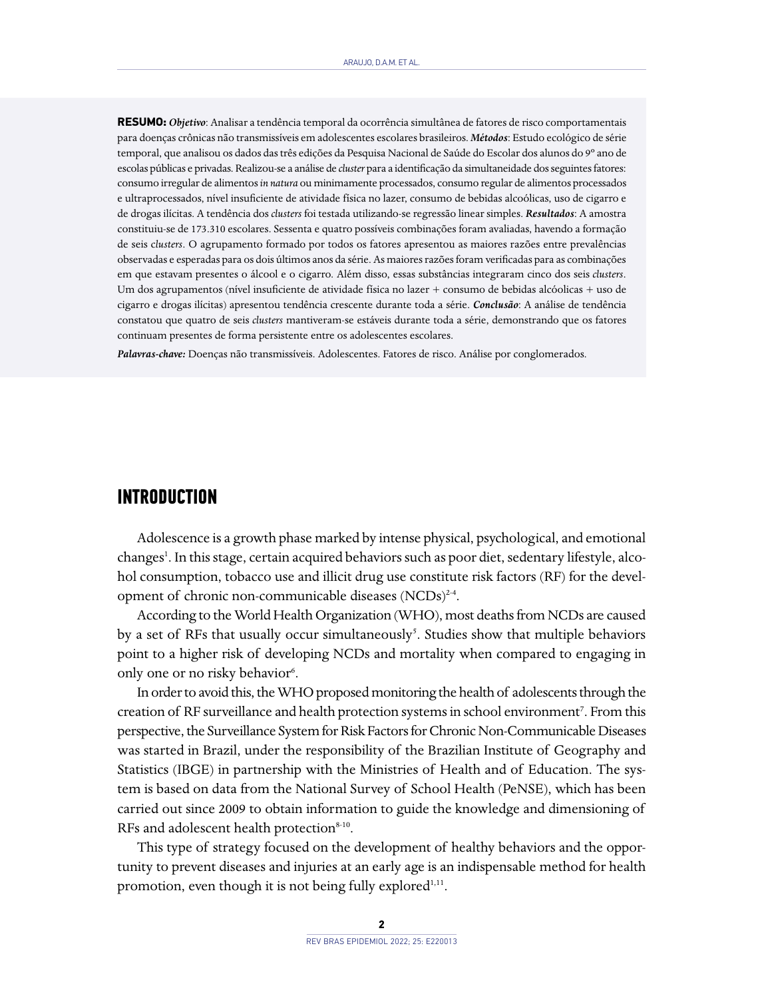**RESUMO:** *Objetivo*: Analisar a tendência temporal da ocorrência simultânea de fatores de risco comportamentais para doenças crônicas não transmissíveis em adolescentes escolares brasileiros. *Métodos*: Estudo ecológico de série temporal, que analisou os dados das três edições da Pesquisa Nacional de Saúde do Escolar dos alunos do 9º ano de escolas públicas e privadas. Realizou-se a análise de *cluster* para a identificação da simultaneidade dos seguintes fatores: consumo irregular de alimentos *in natura* ou minimamente processados, consumo regular de alimentos processados e ultraprocessados, nível insuficiente de atividade física no lazer, consumo de bebidas alcoólicas, uso de cigarro e de drogas ilícitas. A tendência dos *clusters* foi testada utilizando-se regressão linear simples. *Resultados*: A amostra constituiu-se de 173.310 escolares. Sessenta e quatro possíveis combinações foram avaliadas, havendo a formação de seis c*lusters*. O agrupamento formado por todos os fatores apresentou as maiores razões entre prevalências observadas e esperadas para os dois últimos anos da série. As maiores razões foram verificadas para as combinações em que estavam presentes o álcool e o cigarro. Além disso, essas substâncias integraram cinco dos seis *clusters*. Um dos agrupamentos (nível insuficiente de atividade física no lazer + consumo de bebidas alcóolicas + uso de cigarro e drogas ilícitas) apresentou tendência crescente durante toda a série. *Conclusão*: A análise de tendência constatou que quatro de seis *clusters* mantiveram-se estáveis durante toda a série, demonstrando que os fatores continuam presentes de forma persistente entre os adolescentes escolares.

*Palavras-chave:* Doenças não transmissíveis. Adolescentes. Fatores de risco. Análise por conglomerados.

#### **INTRODUCTION**

Adolescence is a growth phase marked by intense physical, psychological, and emotional changes<sup>1</sup>. In this stage, certain acquired behaviors such as poor diet, sedentary lifestyle, alcohol consumption, tobacco use and illicit drug use constitute risk factors (RF) for the development of chronic non-communicable diseases (NCDs)<sup>2-4</sup>.

According to the World Health Organization (WHO), most deaths from NCDs are caused by a set of RFs that usually occur simultaneously<sup>5</sup>. Studies show that multiple behaviors point to a higher risk of developing NCDs and mortality when compared to engaging in only one or no risky behavior<sup>6</sup>.

In order to avoid this, the WHO proposed monitoring the health of adolescents through the creation of RF surveillance and health protection systems in school environment<sup>7</sup>. From this perspective, the Surveillance System for Risk Factors for Chronic Non-Communicable Diseases was started in Brazil, under the responsibility of the Brazilian Institute of Geography and Statistics (IBGE) in partnership with the Ministries of Health and of Education. The system is based on data from the National Survey of School Health (PeNSE), which has been carried out since 2009 to obtain information to guide the knowledge and dimensioning of RFs and adolescent health protection<sup>8-10</sup>.

This type of strategy focused on the development of healthy behaviors and the opportunity to prevent diseases and injuries at an early age is an indispensable method for health promotion, even though it is not being fully explored<sup>1,11</sup>.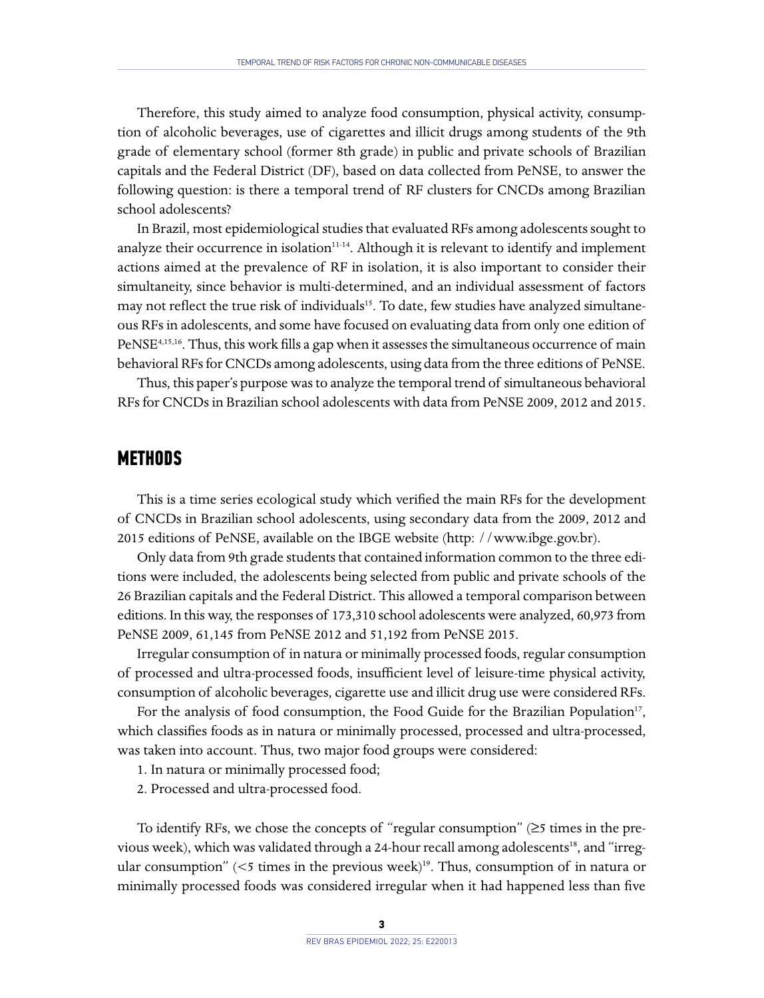Therefore, this study aimed to analyze food consumption, physical activity, consumption of alcoholic beverages, use of cigarettes and illicit drugs among students of the 9th grade of elementary school (former 8th grade) in public and private schools of Brazilian capitals and the Federal District (DF), based on data collected from PeNSE, to answer the following question: is there a temporal trend of RF clusters for CNCDs among Brazilian school adolescents?

In Brazil, most epidemiological studies that evaluated RFs among adolescents sought to analyze their occurrence in isolation $11-14$ . Although it is relevant to identify and implement actions aimed at the prevalence of RF in isolation, it is also important to consider their simultaneity, since behavior is multi-determined, and an individual assessment of factors may not reflect the true risk of individuals<sup>15</sup>. To date, few studies have analyzed simultaneous RFs in adolescents, and some have focused on evaluating data from only one edition of PeNSE<sup>4,15,16</sup>. Thus, this work fills a gap when it assesses the simultaneous occurrence of main behavioral RFs for CNCDs among adolescents, using data from the three editions of PeNSE.

Thus, this paper's purpose was to analyze the temporal trend of simultaneous behavioral RFs for CNCDs in Brazilian school adolescents with data from PeNSE 2009, 2012 and 2015.

### **METHODS**

This is a time series ecological study which verified the main RFs for the development of CNCDs in Brazilian school adolescents, using secondary data from the 2009, 2012 and 2015 editions of PeNSE, available on the IBGE website (http: /[/www.ibge.gov.br](http://www.ibge.gov.br)).

Only data from 9th grade students that contained information common to the three editions were included, the adolescents being selected from public and private schools of the 26 Brazilian capitals and the Federal District. This allowed a temporal comparison between editions. In this way, the responses of 173,310 school adolescents were analyzed, 60,973 from PeNSE 2009, 61,145 from PeNSE 2012 and 51,192 from PeNSE 2015.

Irregular consumption of in natura or minimally processed foods, regular consumption of processed and ultra-processed foods, insufficient level of leisure-time physical activity, consumption of alcoholic beverages, cigarette use and illicit drug use were considered RFs.

For the analysis of food consumption, the Food Guide for the Brazilian Population<sup>17</sup>, which classifies foods as in natura or minimally processed, processed and ultra-processed, was taken into account. Thus, two major food groups were considered:

- 1. In natura or minimally processed food;
- 2. Processed and ultra-processed food.

To identify RFs, we chose the concepts of "regular consumption" (≥5 times in the previous week), which was validated through a 24-hour recall among adolescents<sup>18</sup>, and "irregular consumption" ( $\leq$ 5 times in the previous week)<sup>19</sup>. Thus, consumption of in natura or minimally processed foods was considered irregular when it had happened less than five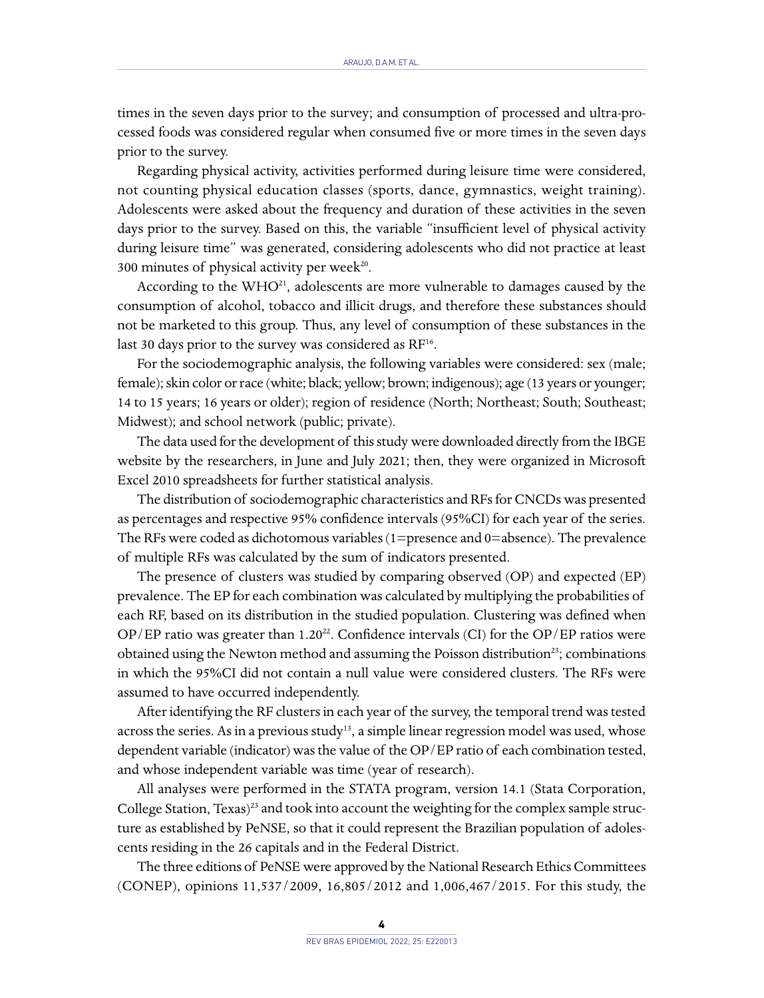times in the seven days prior to the survey; and consumption of processed and ultra-processed foods was considered regular when consumed five or more times in the seven days prior to the survey.

Regarding physical activity, activities performed during leisure time were considered, not counting physical education classes (sports, dance, gymnastics, weight training). Adolescents were asked about the frequency and duration of these activities in the seven days prior to the survey. Based on this, the variable "insufficient level of physical activity during leisure time" was generated, considering adolescents who did not practice at least 300 minutes of physical activity per week $^{20}$ .

According to the  $WHO^{21}$ , adolescents are more vulnerable to damages caused by the consumption of alcohol, tobacco and illicit drugs, and therefore these substances should not be marketed to this group. Thus, any level of consumption of these substances in the last 30 days prior to the survey was considered as RF<sup>16</sup>.

For the sociodemographic analysis, the following variables were considered: sex (male; female); skin color or race (white; black; yellow; brown; indigenous); age (13 years or younger; 14 to 15 years; 16 years or older); region of residence (North; Northeast; South; Southeast; Midwest); and school network (public; private).

The data used for the development of this study were downloaded directly from the IBGE website by the researchers, in June and July 2021; then, they were organized in Microsoft Excel 2010 spreadsheets for further statistical analysis.

The distribution of sociodemographic characteristics and RFs for CNCDs was presented as percentages and respective 95% confidence intervals (95%CI) for each year of the series. The RFs were coded as dichotomous variables (1=presence and 0=absence). The prevalence of multiple RFs was calculated by the sum of indicators presented.

The presence of clusters was studied by comparing observed (OP) and expected (EP) prevalence. The EP for each combination was calculated by multiplying the probabilities of each RF, based on its distribution in the studied population. Clustering was defined when OP/EP ratio was greater than  $1.20^{22}$ . Confidence intervals (CI) for the OP/EP ratios were obtained using the Newton method and assuming the Poisson distribution<sup>23</sup>; combinations in which the 95%CI did not contain a null value were considered clusters. The RFs were assumed to have occurred independently.

After identifying the RF clusters in each year of the survey, the temporal trend was tested across the series. As in a previous study<sup>13</sup>, a simple linear regression model was used, whose dependent variable (indicator) was the value of the OP/EP ratio of each combination tested, and whose independent variable was time (year of research).

All analyses were performed in the STATA program, version 14.1 (Stata Corporation, College Station, Texas)<sup>23</sup> and took into account the weighting for the complex sample structure as established by PeNSE, so that it could represent the Brazilian population of adolescents residing in the 26 capitals and in the Federal District.

The three editions of PeNSE were approved by the National Research Ethics Committees (CONEP), opinions 11,537/2009, 16,805/2012 and 1,006,467/2015. For this study, the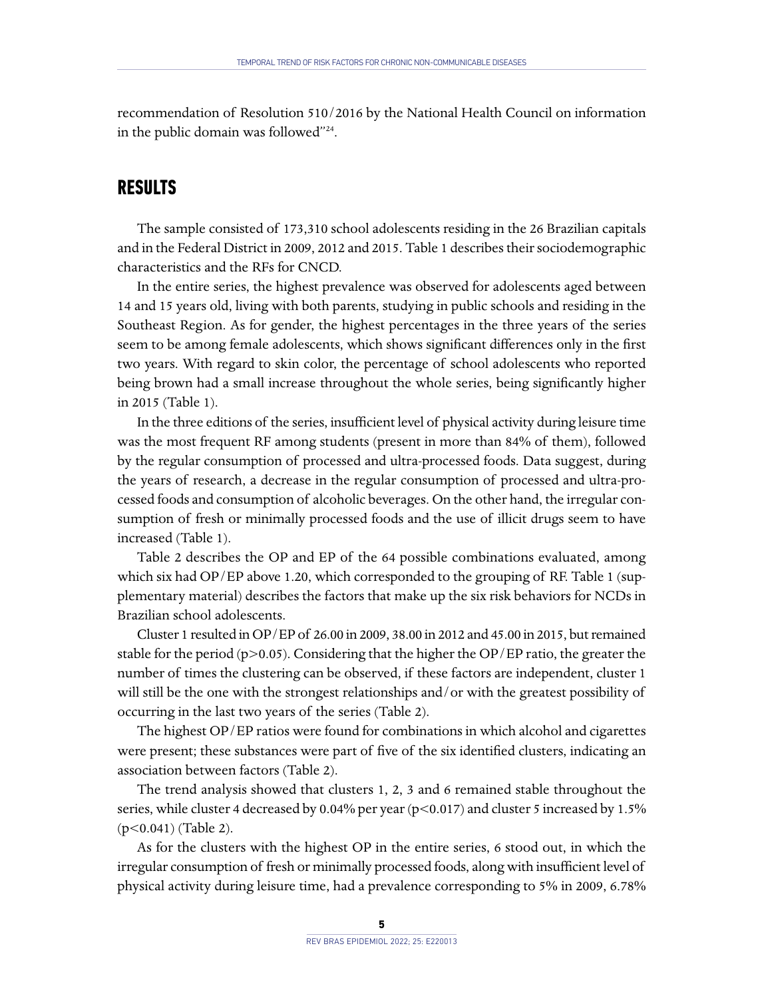recommendation of Resolution 510/2016 by the National Health Council on information in the public domain was followed"24.

## **RESULTS**

The sample consisted of 173,310 school adolescents residing in the 26 Brazilian capitals and in the Federal District in 2009, 2012 and 2015. Table 1 describes their sociodemographic characteristics and the RFs for CNCD.

In the entire series, the highest prevalence was observed for adolescents aged between 14 and 15 years old, living with both parents, studying in public schools and residing in the Southeast Region. As for gender, the highest percentages in the three years of the series seem to be among female adolescents, which shows significant differences only in the first two years. With regard to skin color, the percentage of school adolescents who reported being brown had a small increase throughout the whole series, being significantly higher in 2015 (Table 1).

In the three editions of the series, insufficient level of physical activity during leisure time was the most frequent RF among students (present in more than 84% of them), followed by the regular consumption of processed and ultra-processed foods. Data suggest, during the years of research, a decrease in the regular consumption of processed and ultra-processed foods and consumption of alcoholic beverages. On the other hand, the irregular consumption of fresh or minimally processed foods and the use of illicit drugs seem to have increased (Table 1).

Table 2 describes the OP and EP of the 64 possible combinations evaluated, among which six had OP/EP above 1.20, which corresponded to the grouping of RF. Table 1 (supplementary material) describes the factors that make up the six risk behaviors for NCDs in Brazilian school adolescents.

Cluster 1 resulted in OP/EP of 26.00 in 2009, 38.00 in 2012 and 45.00 in 2015, but remained stable for the period ( $p>0.05$ ). Considering that the higher the OP/EP ratio, the greater the number of times the clustering can be observed, if these factors are independent, cluster 1 will still be the one with the strongest relationships and/or with the greatest possibility of occurring in the last two years of the series (Table 2).

The highest OP/EP ratios were found for combinations in which alcohol and cigarettes were present; these substances were part of five of the six identified clusters, indicating an association between factors (Table 2).

The trend analysis showed that clusters 1, 2, 3 and 6 remained stable throughout the series, while cluster 4 decreased by 0.04% per year (p<0.017) and cluster 5 increased by 1.5% (p<0.041) (Table 2).

As for the clusters with the highest OP in the entire series, 6 stood out, in which the irregular consumption of fresh or minimally processed foods, along with insufficient level of physical activity during leisure time, had a prevalence corresponding to 5% in 2009, 6.78%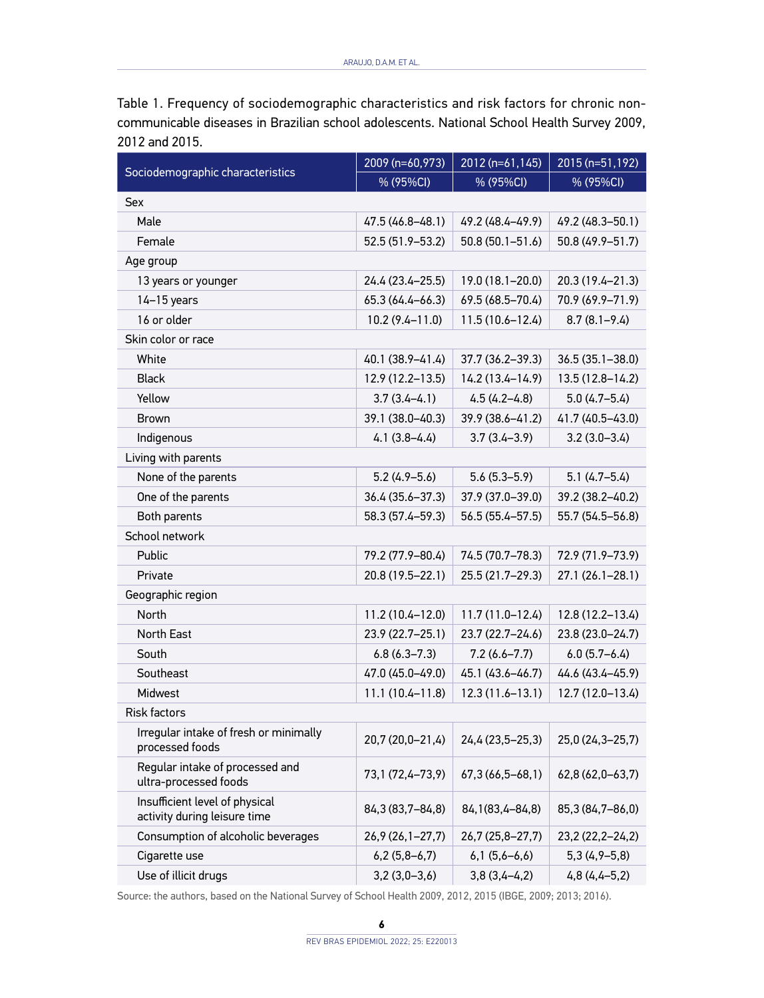Table 1. Frequency of sociodemographic characteristics and risk factors for chronic noncommunicable diseases in Brazilian school adolescents. National School Health Survey 2009, 2012 and 2015.

|                                                                | 2009 (n=60,973)       | 2012 (n=61,145)     | 2015 (n=51,192)     |  |  |
|----------------------------------------------------------------|-----------------------|---------------------|---------------------|--|--|
| Sociodemographic characteristics                               | % (95%CI)             | % (95%CI)           | % (95%CI)           |  |  |
| Sex                                                            |                       |                     |                     |  |  |
| Male                                                           | 47.5 (46.8-48.1)      | 49.2 (48.4-49.9)    | 49.2 (48.3-50.1)    |  |  |
| Female                                                         | 52.5 (51.9–53.2)      | $50.8(50.1 - 51.6)$ | 50.8 (49.9-51.7)    |  |  |
| Age group                                                      |                       |                     |                     |  |  |
| 13 years or younger                                            | 24.4 (23.4-25.5)      | $19.0(18.1 - 20.0)$ | 20.3 (19.4-21.3)    |  |  |
| $14-15$ years                                                  | $65.3(64.4 - 66.3)$   | 69.5 (68.5-70.4)    | 70.9 (69.9-71.9)    |  |  |
| 16 or older                                                    | $10.2(9.4 - 11.0)$    | $11.5(10.6 - 12.4)$ | $8.7(8.1 - 9.4)$    |  |  |
| Skin color or race                                             |                       |                     |                     |  |  |
| White                                                          | 40.1 (38.9-41.4)      | 37.7 (36.2-39.3)    | $36.5(35.1 - 38.0)$ |  |  |
| <b>Black</b>                                                   | $12.9(12.2 - 13.5)$   | $14.2(13.4 - 14.9)$ | 13.5 (12.8-14.2)    |  |  |
| Yellow                                                         | $3.7(3.4 - 4.1)$      | $4.5(4.2 - 4.8)$    | $5.0(4.7-5.4)$      |  |  |
| <b>Brown</b>                                                   | 39.1 (38.0-40.3)      | 39.9 (38.6-41.2)    | 41.7 (40.5-43.0)    |  |  |
| Indigenous                                                     | $4.1(3.8-4.4)$        | $3.7(3.4 - 3.9)$    | $3.2(3.0-3.4)$      |  |  |
| Living with parents                                            |                       |                     |                     |  |  |
| None of the parents                                            | $5.2(4.9 - 5.6)$      | $5.6(5.3-5.9)$      | $5.1(4.7-5.4)$      |  |  |
| One of the parents                                             | 36.4 (35.6-37.3)      | 37.9 (37.0-39.0)    | 39.2 (38.2-40.2)    |  |  |
| Both parents                                                   | 58.3 (57.4-59.3)      | $56.5(55.4 - 57.5)$ | 55.7 (54.5-56.8)    |  |  |
| School network                                                 |                       |                     |                     |  |  |
| Public                                                         | 79.2 (77.9-80.4)      | 74.5 (70.7-78.3)    | 72.9 (71.9-73.9)    |  |  |
| Private                                                        | 20.8 (19.5-22.1)      | 25.5 (21.7-29.3)    | 27.1 (26.1-28.1)    |  |  |
| Geographic region                                              |                       |                     |                     |  |  |
| <b>North</b>                                                   | 11.2 (10.4-12.0)      | $11.7(11.0-12.4)$   | 12.8 (12.2-13.4)    |  |  |
| North East                                                     | 23.9 (22.7-25.1)      | 23.7 (22.7-24.6)    | 23.8 (23.0-24.7)    |  |  |
| South                                                          | $6.8(6.3 - 7.3)$      | $7.2(6.6 - 7.7)$    | $6.0(5.7 - 6.4)$    |  |  |
| Southeast                                                      | 47.0 (45.0-49.0)      | 45.1 (43.6-46.7)    | 44.6 (43.4-45.9)    |  |  |
| Midwest                                                        | $11.1(10.4 - 11.8)$   | $12.3(11.6 - 13.1)$ | 12.7 (12.0-13.4)    |  |  |
| <b>Risk factors</b>                                            |                       |                     |                     |  |  |
| Irregular intake of fresh or minimally<br>processed foods      | 20,7 (20,0-21,4)      | 24,4 (23,5-25,3)    | 25,0 (24,3-25,7)    |  |  |
| Regular intake of processed and<br>ultra-processed foods       | 73,1 (72,4–73,9)      | 67,3 (66,5-68,1)    | 62,8 (62,0-63,7)    |  |  |
| Insufficient level of physical<br>activity during leisure time | 84, 3 (83, 7 - 84, 8) | 84, 1(83, 4-84, 8)  | 85,3 (84,7-86,0)    |  |  |
| Consumption of alcoholic beverages                             | 26,9 (26, 1 - 27, 7)  | 26,7 (25,8–27,7)    | 23,2 (22,2-24,2)    |  |  |
| Cigarette use                                                  | $6,2(5,8-6,7)$        | $6,1(5,6-6,6)$      | 5,3 (4,9–5,8)       |  |  |
| Use of illicit drugs                                           | $3,2(3,0-3,6)$        | $3,8(3,4-4,2)$      | $4,8(4,4-5,2)$      |  |  |

Source: the authors, based on the National Survey of School Health 2009, 2012, 2015 (IBGE, 2009; 2013; 2016).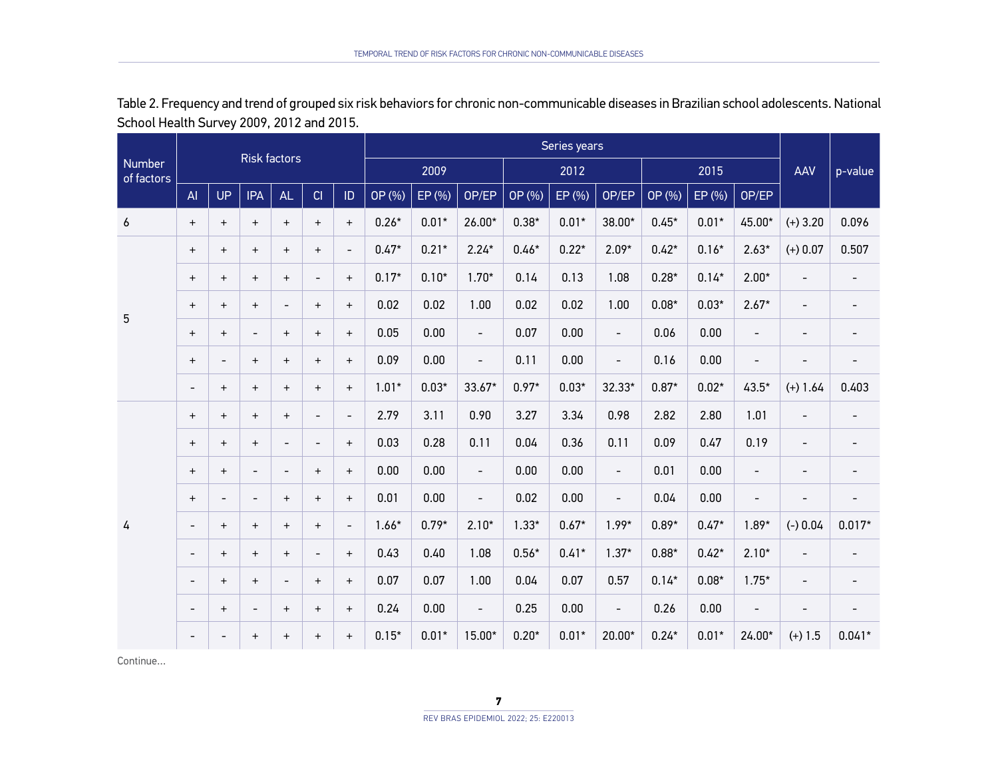| Number<br>of factors |                          |                          | <b>Risk factors</b>      |                          |                          |                          | Series years |         |                          |         |         |                          |         |         |                          |                          |                              |
|----------------------|--------------------------|--------------------------|--------------------------|--------------------------|--------------------------|--------------------------|--------------|---------|--------------------------|---------|---------|--------------------------|---------|---------|--------------------------|--------------------------|------------------------------|
|                      |                          |                          |                          |                          |                          |                          | 2009         |         |                          | 2012    |         |                          | 2015    |         |                          | AAV                      | p-value                      |
|                      | AI                       | <b>UP</b>                | <b>IPA</b>               | AL                       | CI                       | ID                       | OP (%)       | EP (%)  | OP/EP                    | OP (%)  | EP (%)  | OP/EP                    | OP (%)  | EP (%)  | OP/EP                    |                          |                              |
| 6                    | $\ddot{}$                | $+$                      | $+$                      | $+$                      | $+$                      | $+$                      | $0.26*$      | $0.01*$ | 26.00*                   | $0.38*$ | $0.01*$ | 38.00*                   | $0.45*$ | $0.01*$ | 45.00*                   | $(+)$ 3.20               | 0.096                        |
|                      | $\ddot{}$                | $+$                      | $+$                      | $+$                      | $+$                      | $\overline{\phantom{a}}$ | $0.47*$      | $0.21*$ | $2.24*$                  | $0.46*$ | $0.22*$ | $2.09*$                  | $0.42*$ | $0.16*$ | $2.63*$                  | $(+) 0.07$               | 0.507                        |
|                      | $\ddot{}$                | $+$                      | $+$                      | $+$                      | $\overline{\phantom{0}}$ | $+$                      | $0.17*$      | $0.10*$ | $1.70*$                  | 0.14    | 0.13    | 1.08                     | $0.28*$ | $0.14*$ | $2.00*$                  | $\overline{\phantom{0}}$ | $\overline{\phantom{a}}$     |
| 5                    | $+$                      | $+$                      | $+$                      | $\overline{\phantom{a}}$ | $+$                      | $+$                      | 0.02         | 0.02    | 1.00                     | 0.02    | 0.02    | 1.00                     | $0.08*$ | $0.03*$ | $2.67*$                  | $\overline{\phantom{0}}$ | $\overline{\phantom{a}}$     |
|                      | $+$                      | $+$                      | $\overline{\phantom{0}}$ | $+$                      | $+$                      | $+$                      | 0.05         | 0.00    | $\overline{\phantom{a}}$ | 0.07    | 0.00    | $\overline{\phantom{a}}$ | 0.06    | 0.00    | $\overline{\phantom{a}}$ | $\overline{\phantom{0}}$ |                              |
|                      | $\ddot{}$                | $\overline{\phantom{a}}$ | $+$                      | $+$                      | $+$                      | $+$                      | 0.09         | 0.00    | $\overline{\phantom{a}}$ | 0.11    | 0.00    | $\overline{\phantom{a}}$ | 0.16    | 0.00    | $\overline{\phantom{a}}$ | ٠                        |                              |
|                      | $\overline{\phantom{a}}$ | $+$                      | $+$                      | $+$                      | $+$                      | $+$                      | $1.01*$      | $0.03*$ | $33.67*$                 | $0.97*$ | $0.03*$ | 32.33*                   | $0.87*$ | $0.02*$ | $43.5*$                  | $(+) 1.64$               | 0.403                        |
|                      | $\ddot{}$                | $+$                      | $+$                      | $+$                      | $\overline{\phantom{0}}$ | $\overline{\phantom{a}}$ | 2.79         | 3.11    | 0.90                     | 3.27    | 3.34    | 0.98                     | 2.82    | 2.80    | 1.01                     | $\overline{\phantom{0}}$ | $\qquad \qquad \blacksquare$ |
|                      | $\ddot{}$                | $+$                      | $+$                      | $\overline{\phantom{a}}$ | $\overline{\phantom{0}}$ | $+$                      | 0.03         | 0.28    | 0.11                     | 0.04    | 0.36    | 0.11                     | 0.09    | 0.47    | 0.19                     | $\overline{\phantom{0}}$ | $\overline{\phantom{0}}$     |
|                      | $\ddot{}$                | $+$                      | $\overline{\phantom{a}}$ | $\overline{\phantom{a}}$ | $+$                      | $+$                      | 0.00         | 0.00    | $\overline{\phantom{a}}$ | 0.00    | 0.00    | $\overline{\phantom{a}}$ | 0.01    | 0.00    | $\overline{\phantom{a}}$ | $\overline{\phantom{0}}$ |                              |
|                      | $\ddot{}$                | $\overline{\phantom{a}}$ | $\overline{\phantom{a}}$ | $+$                      | $+$                      | $+$                      | 0.01         | 0.00    | $\overline{\phantom{a}}$ | 0.02    | 0.00    | $\overline{\phantom{a}}$ | 0.04    | 0.00    | $\overline{\phantom{a}}$ | $\overline{\phantom{0}}$ |                              |
| 4                    | $\overline{\phantom{a}}$ | $+$                      | $+$                      | $+$                      | $+$                      | $\overline{\phantom{0}}$ | $1.66*$      | $0.79*$ | $2.10*$                  | $1.33*$ | $0.67*$ | $1.99*$                  | $0.89*$ | $0.47*$ | $1.89*$                  | $(-) 0.04$               | $0.017*$                     |
|                      | $\overline{\phantom{a}}$ | $+$                      | $+$                      | $+$                      |                          | $+$                      | 0.43         | 0.40    | 1.08                     | $0.56*$ | $0.41*$ | $1.37*$                  | $0.88*$ | $0.42*$ | $2.10*$                  | $\overline{\phantom{a}}$ | -                            |
|                      | $\overline{\phantom{0}}$ | $+$                      | $\ddot{}$                |                          | $\ddot{}$                | $+$                      | 0.07         | 0.07    | 1.00                     | 0.04    | 0.07    | 0.57                     | $0.14*$ | $0.08*$ | $1.75*$                  | $\overline{\phantom{0}}$ | $\overline{\phantom{0}}$     |
|                      | $\overline{\phantom{0}}$ | $\ddot{}$                | $\overline{\phantom{a}}$ | $\qquad \qquad +$        | $\ddot{}$                | $^{+}$                   | 0.24         | 0.00    | $\overline{\phantom{a}}$ | 0.25    | 0.00    | $\overline{\phantom{a}}$ | 0.26    | 0.00    | $\overline{\phantom{a}}$ | $\overline{\phantom{0}}$ | $\overline{\phantom{0}}$     |
|                      | $\overline{\phantom{a}}$ |                          | $\ddot{}$                | $+$                      | $+$                      | $+$                      | $0.15*$      | $0.01*$ | 15.00*                   | $0.20*$ | $0.01*$ | 20.00*                   | $0.24*$ | $0.01*$ | 24.00*                   | $(+) 1.5$                | $0.041*$                     |

Table 2. Frequency and trend of grouped six risk behaviors for chronic non-communicable diseases in Brazilian school adolescents. National School Health Survey 2009, 2012 and 2015.

Continue…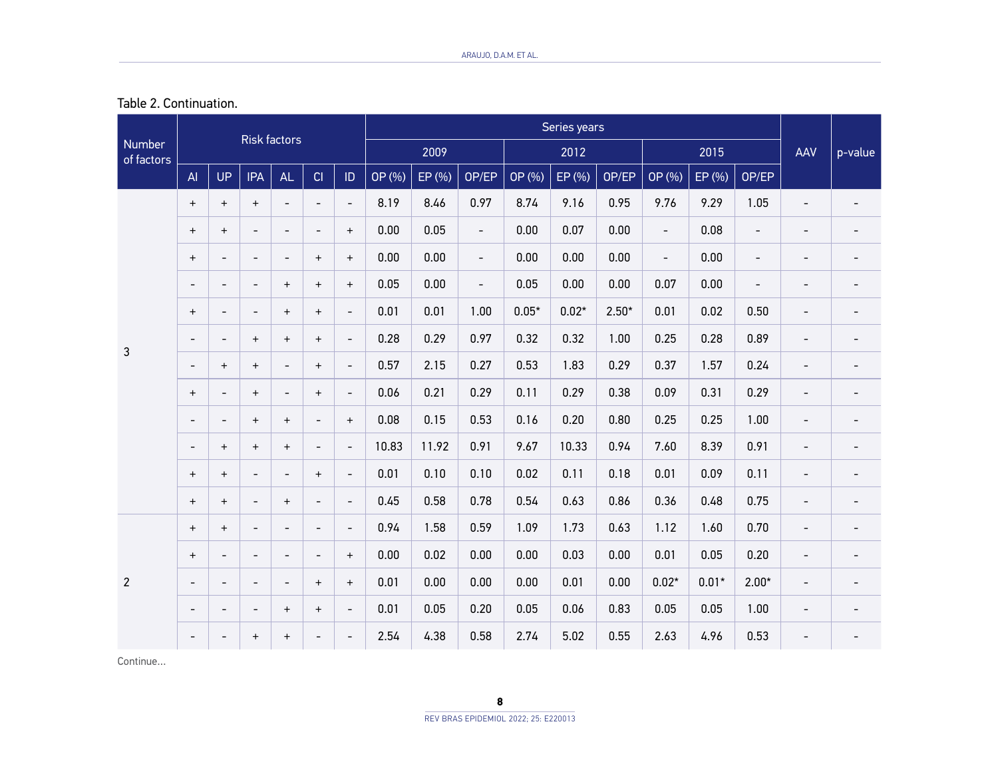| Table 2. Continuation. |
|------------------------|
|------------------------|

|                             |                                  |                          |                                  | <b>Risk factors</b>              |                          |                          | Series years |        |                          |         |         |         |                          |         |                          |                          |                          |
|-----------------------------|----------------------------------|--------------------------|----------------------------------|----------------------------------|--------------------------|--------------------------|--------------|--------|--------------------------|---------|---------|---------|--------------------------|---------|--------------------------|--------------------------|--------------------------|
| <b>Number</b><br>of factors |                                  |                          |                                  |                                  |                          |                          | 2009         |        |                          | 2012    |         |         | 2015                     |         |                          | AAV                      | p-value                  |
|                             | AI                               | <b>UP</b>                | <b>IPA</b>                       | AL                               | CI                       | $\mathsf{ID}$            | OP (%)       | EP (%) | OP/EP                    | OP (%)  | EP (%)  | OP/EP   | OP (%)                   | EP (%)  | OP/EP                    |                          |                          |
|                             | $+$                              | $\ddot{}$                | $\ddot{}$                        | $\overline{\phantom{a}}$         | $\overline{a}$           | $\overline{\phantom{a}}$ | 8.19         | 8.46   | 0.97                     | 8.74    | 9.16    | 0.95    | 9.76                     | 9.29    | 1.05                     | $\overline{a}$           | $\overline{\phantom{0}}$ |
|                             | $\ddot{}$                        | $+$                      | $\overline{\phantom{a}}$         | $\overline{\phantom{a}}$         | $\overline{\phantom{a}}$ | $+$                      | 0.00         | 0.05   | $\overline{\phantom{a}}$ | 0.00    | 0.07    | 0.00    | $\overline{\phantom{a}}$ | 0.08    | $\overline{\phantom{a}}$ | $\overline{a}$           | -                        |
|                             | $\ddot{}$                        | $\blacksquare$           | $\overline{\phantom{a}}$         | $\overline{\phantom{a}}$         | $+$                      | $+$                      | 0.00         | 0.00   | $\overline{\phantom{a}}$ | 0.00    | 0.00    | 0.00    | $\overline{\phantom{a}}$ | 0.00    | $\blacksquare$           | $\overline{\phantom{0}}$ | $\overline{\phantom{a}}$ |
|                             | $\overline{a}$                   | $\overline{\phantom{a}}$ | $\overline{\phantom{a}}$         | $^{+}$                           | $+$                      | $+$                      | 0.05         | 0.00   | $\overline{\phantom{a}}$ | 0.05    | 0.00    | 0.00    | 0.07                     | 0.00    | $\overline{\phantom{a}}$ | $\overline{\phantom{0}}$ | $\overline{\phantom{0}}$ |
| 3                           | $\ddot{}$                        | $\overline{\phantom{a}}$ | $\overline{\phantom{a}}$         | $^{+}$                           | $+$                      | $\overline{\phantom{a}}$ | 0.01         | 0.01   | 1.00                     | $0.05*$ | $0.02*$ | $2.50*$ | 0.01                     | 0.02    | 0.50                     | $\overline{a}$           | $\overline{\phantom{0}}$ |
|                             | $\overline{a}$                   | $\overline{\phantom{a}}$ | $\ddot{}$                        | $\qquad \qquad +$                | $+$                      | $\overline{\phantom{a}}$ | 0.28         | 0.29   | 0.97                     | 0.32    | 0.32    | 1.00    | 0.25                     | 0.28    | 0.89                     | $\overline{\phantom{0}}$ | $\overline{\phantom{0}}$ |
|                             | $\overline{a}$                   | $\ddot{}$                | $\ddot{}$                        | $\overline{\phantom{a}}$         | $+$                      | $\overline{\phantom{a}}$ | 0.57         | 2.15   | 0.27                     | 0.53    | 1.83    | 0.29    | 0.37                     | 1.57    | 0.24                     | $\overline{\phantom{a}}$ | $\overline{\phantom{a}}$ |
|                             | $\qquad \qquad +$                | $\overline{\phantom{a}}$ | $\begin{array}{c} + \end{array}$ | $\overline{\phantom{a}}$         | $+$                      | $\overline{\phantom{a}}$ | 0.06         | 0.21   | 0.29                     | 0.11    | 0.29    | 0.38    | 0.09                     | 0.31    | 0.29                     | $\overline{\phantom{0}}$ | $\overline{\phantom{0}}$ |
|                             | $\overline{a}$                   | $\overline{\phantom{a}}$ | $\ddot{}$                        | $+$                              | $\overline{\phantom{a}}$ | $+$                      | 0.08         | 0.15   | 0.53                     | 0.16    | 0.20    | 0.80    | 0.25                     | 0.25    | 1.00                     | $\overline{\phantom{0}}$ | $\overline{\phantom{0}}$ |
|                             | $\overline{a}$                   | $+$                      | $\ddot{}$                        | $+$                              | $\overline{\phantom{a}}$ | $\overline{\phantom{a}}$ | 10.83        | 11.92  | 0.91                     | 9.67    | 10.33   | 0.94    | 7.60                     | 8.39    | 0.91                     | $\overline{a}$           | $\overline{\phantom{a}}$ |
|                             | $\begin{array}{c} + \end{array}$ | $\ddot{}$                | $\overline{\phantom{a}}$         | $\overline{\phantom{a}}$         | $+$                      | $\overline{\phantom{a}}$ | 0.01         | 0.10   | 0.10                     | 0.02    | 0.11    | 0.18    | 0.01                     | 0.09    | 0.11                     | $\overline{\phantom{0}}$ | $\overline{\phantom{a}}$ |
|                             | $\qquad \qquad +$                | $\ddot{}$                | $\overline{\phantom{a}}$         | $+$                              | $\overline{\phantom{a}}$ | $\overline{\phantom{a}}$ | 0.45         | 0.58   | 0.78                     | 0.54    | 0.63    | 0.86    | 0.36                     | 0.48    | 0.75                     | $\overline{\phantom{a}}$ | $\overline{\phantom{a}}$ |
|                             | $\qquad \qquad +$                | $\ddot{}$                | $\overline{\phantom{a}}$         | $\overline{\phantom{a}}$         | $\overline{\phantom{a}}$ | $\overline{\phantom{a}}$ | 0.94         | 1.58   | 0.59                     | 1.09    | 1.73    | 0.63    | 1.12                     | 1.60    | 0.70                     | $\overline{\phantom{0}}$ | $\overline{\phantom{0}}$ |
| 2                           | $\ddot{}$                        | $\overline{\phantom{a}}$ | $\overline{\phantom{a}}$         | $\overline{\phantom{a}}$         | $\overline{\phantom{a}}$ | $+$                      | 0.00         | 0.02   | 0.00                     | 0.00    | 0.03    | 0.00    | 0.01                     | 0.05    | 0.20                     | $\overline{\phantom{0}}$ | $\overline{\phantom{a}}$ |
|                             | $\overline{\phantom{a}}$         | $\overline{\phantom{a}}$ | $\overline{\phantom{a}}$         | $\overline{\phantom{a}}$         | $+$                      | $^{+}$                   | 0.01         | 0.00   | 0.00                     | 0.00    | 0.01    | 0.00    | $0.02*$                  | $0.01*$ | $2.00*$                  | $\overline{\phantom{0}}$ | $\overline{\phantom{0}}$ |
|                             | $\overline{a}$                   | $\overline{\phantom{a}}$ | $\overline{\phantom{0}}$         | $\ddot{}$                        | $^{+}$                   | $\overline{\phantom{a}}$ | 0.01         | 0.05   | 0.20                     | 0.05    | 0.06    | 0.83    | 0.05                     | 0.05    | 1.00                     | $\overline{\phantom{0}}$ | $\overline{\phantom{0}}$ |
|                             | $\overline{a}$                   | $\overline{\phantom{a}}$ | $\begin{array}{c} + \end{array}$ | $\begin{array}{c} + \end{array}$ | $\overline{\phantom{a}}$ | $\overline{\phantom{a}}$ | 2.54         | 4.38   | 0.58                     | 2.74    | 5.02    | 0.55    | 2.63                     | 4.96    | 0.53                     | $\overline{\phantom{0}}$ | $\overline{\phantom{0}}$ |

Continue…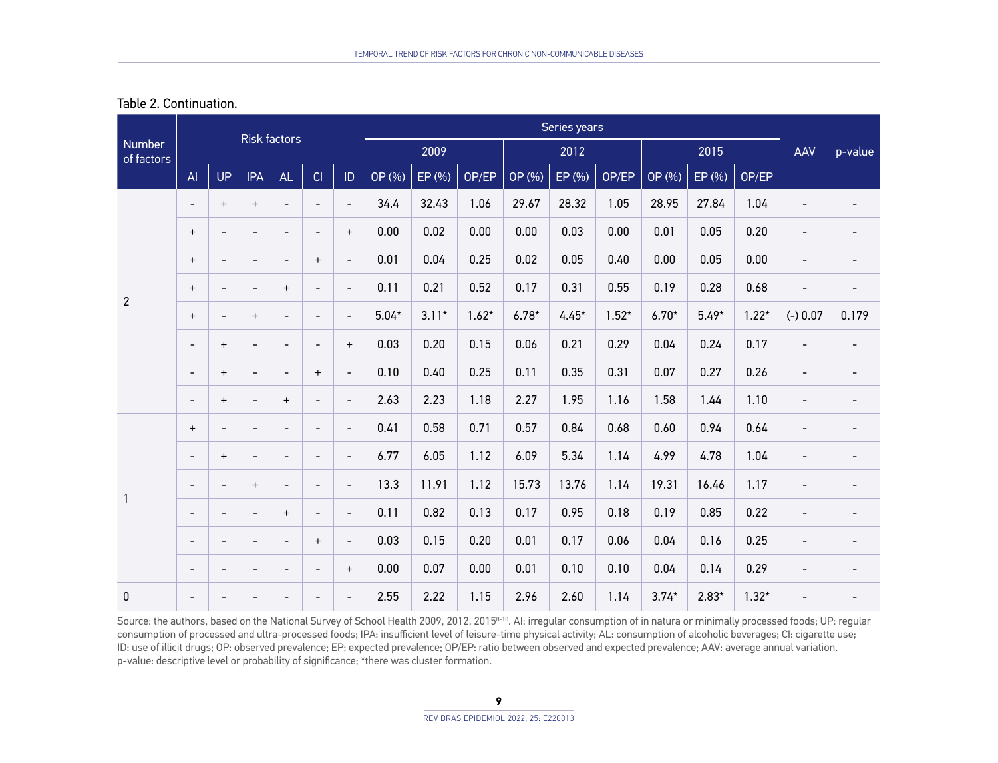| Table 2. Continuation. |  |
|------------------------|--|
|------------------------|--|

| Number<br>of factors |                                  |                          | Risk factors             |                          |                          |                          | Series years |         |         |         |         |         |         |         |         |                          |                          |
|----------------------|----------------------------------|--------------------------|--------------------------|--------------------------|--------------------------|--------------------------|--------------|---------|---------|---------|---------|---------|---------|---------|---------|--------------------------|--------------------------|
|                      |                                  |                          |                          |                          |                          |                          | 2009         |         |         | 2012    |         |         | 2015    |         |         | AAV                      | p-value                  |
|                      | AI                               | <b>UP</b>                | <b>IPA</b>               | AL                       | CI                       | ID                       | OP (%)       | EP (%)  | OP/EP   | OP (%)  | EP (%)  | OP/EP   | OP (%)  | EP (%)  | OP/EP   |                          |                          |
| $\overline{2}$       | $\overline{\phantom{a}}$         | $\ddot{}$                | $\ddot{}$                | $\overline{\phantom{a}}$ | $\overline{\phantom{a}}$ | $\overline{\phantom{a}}$ | 34.4         | 32.43   | 1.06    | 29.67   | 28.32   | 1.05    | 28.95   | 27.84   | 1.04    | $\overline{a}$           | $\overline{\phantom{a}}$ |
|                      | $\ddot{}$                        | $\overline{\phantom{a}}$ | $\overline{\phantom{a}}$ | $\overline{\phantom{a}}$ | $\overline{\phantom{0}}$ | $+$                      | 0.00         | 0.02    | 0.00    | 0.00    | 0.03    | 0.00    | 0.01    | 0.05    | 0.20    | $\overline{\phantom{0}}$ |                          |
|                      | $^{+}$                           | $\overline{\phantom{a}}$ | $\overline{a}$           | $\overline{\phantom{a}}$ | $+$                      | $\overline{\phantom{0}}$ | 0.01         | 0.04    | 0.25    | 0.02    | 0.05    | 0.40    | 0.00    | 0.05    | 0.00    | $\overline{\phantom{0}}$ | $\overline{\phantom{a}}$ |
|                      | $\ddot{}$                        | $\overline{\phantom{a}}$ | $\overline{\phantom{0}}$ | $+$                      | $\overline{\phantom{a}}$ | $\overline{\phantom{a}}$ | 0.11         | 0.21    | 0.52    | 0.17    | 0.31    | 0.55    | 0.19    | 0.28    | 0.68    | $\overline{\phantom{0}}$ | $\overline{\phantom{a}}$ |
|                      | $^{+}$                           | $\overline{\phantom{a}}$ | $\ddot{}$                | $\overline{\phantom{a}}$ | $\overline{\phantom{a}}$ | $\overline{\phantom{0}}$ | $5.04*$      | $3.11*$ | $1.62*$ | $6.78*$ | $4.45*$ | $1.52*$ | $6.70*$ | $5.49*$ | $1.22*$ | $(-) 0.07$               | 0.179                    |
|                      | $\overline{\phantom{a}}$         | $\ddot{}$                | $\overline{\phantom{0}}$ | $\overline{\phantom{a}}$ | $\overline{\phantom{a}}$ | $+$                      | 0.03         | 0.20    | 0.15    | 0.06    | 0.21    | 0.29    | 0.04    | 0.24    | 0.17    | $\overline{\phantom{a}}$ |                          |
|                      | $\overline{\phantom{a}}$         | $\qquad \qquad +$        | $\overline{\phantom{0}}$ | $\overline{\phantom{a}}$ | $\ddot{}$                | $\overline{\phantom{0}}$ | 0.10         | 0.40    | 0.25    | 0.11    | 0.35    | 0.31    | 0.07    | 0.27    | 0.26    | $\overline{a}$           | $\overline{\phantom{a}}$ |
|                      | $\overline{\phantom{a}}$         | $+$                      | $\overline{a}$           | $+$                      | $\overline{\phantom{a}}$ | $\overline{\phantom{0}}$ | 2.63         | 2.23    | 1.18    | 2.27    | 1.95    | 1.16    | 1.58    | 1.44    | 1.10    | $\overline{\phantom{a}}$ | $\overline{\phantom{a}}$ |
|                      | $\begin{array}{c} + \end{array}$ | $\overline{\phantom{a}}$ | $\overline{\phantom{0}}$ | $\overline{\phantom{a}}$ | $\overline{\phantom{a}}$ | $\overline{\phantom{0}}$ | 0.41         | 0.58    | 0.71    | 0.57    | 0.84    | 0.68    | 0.60    | 0.94    | 0.64    | $\overline{\phantom{a}}$ | $\overline{\phantom{a}}$ |
|                      | $\overline{\phantom{a}}$         | $\ddot{}$                | $\overline{a}$           | $\overline{\phantom{a}}$ | $\overline{\phantom{a}}$ | $\overline{\phantom{0}}$ | 6.77         | 6.05    | 1.12    | 6.09    | 5.34    | 1.14    | 4.99    | 4.78    | 1.04    | $\overline{\phantom{0}}$ | $\overline{\phantom{a}}$ |
|                      | $\overline{\phantom{a}}$         | $\overline{\phantom{a}}$ | $\ddot{}$                | $\overline{\phantom{a}}$ | $\overline{a}$           | $\overline{\phantom{a}}$ | 13.3         | 11.91   | 1.12    | 15.73   | 13.76   | 1.14    | 19.31   | 16.46   | 1.17    | $\overline{\phantom{0}}$ | $\overline{\phantom{a}}$ |
| $\mathbf{1}$         | ÷,                               | $\overline{\phantom{a}}$ | $\overline{a}$           | $+$                      | $\overline{\phantom{a}}$ | $\overline{\phantom{0}}$ | 0.11         | 0.82    | 0.13    | 0.17    | 0.95    | 0.18    | 0.19    | 0.85    | 0.22    | $\overline{\phantom{a}}$ | $\overline{\phantom{a}}$ |
|                      | $\overline{\phantom{a}}$         | $\overline{\phantom{a}}$ | $\overline{\phantom{0}}$ | $\overline{\phantom{a}}$ | $+$                      | $\overline{\phantom{0}}$ | 0.03         | 0.15    | 0.20    | 0.01    | 0.17    | 0.06    | 0.04    | 0.16    | 0.25    | $\overline{\phantom{0}}$ | $\overline{\phantom{a}}$ |
|                      | $\overline{\phantom{a}}$         | $\overline{\phantom{a}}$ | $\overline{\phantom{0}}$ | $\overline{\phantom{a}}$ | $\overline{\phantom{a}}$ | $+$                      | 0.00         | 0.07    | 0.00    | 0.01    | 0.10    | 0.10    | 0.04    | 0.14    | 0.29    | $\overline{\phantom{0}}$ | $\overline{\phantom{a}}$ |
| 0                    | $\overline{\phantom{a}}$         | $\overline{\phantom{a}}$ | $\overline{\phantom{0}}$ | $\overline{\phantom{0}}$ | $\overline{\phantom{0}}$ | $\overline{\phantom{0}}$ | 2.55         | 2.22    | 1.15    | 2.96    | 2.60    | 1.14    | $3.74*$ | $2.83*$ | $1.32*$ | $\overline{a}$           |                          |

Source: the authors, based on the National Survey of School Health 2009, 2012, 2015<sup>8-10</sup>. AI: irregular consumption of in natura or minimally processed foods; UP: regular consumption of processed and ultra-processed foods; IPA: insufficient level of leisure-time physical activity; AL: consumption of alcoholic beverages; CI: cigarette use; ID: use of illicit drugs; OP: observed prevalence; EP: expected prevalence; OP/EP: ratio between observed and expected prevalence; AAV: average annual variation. p-value: descriptive level or probability of significance; \*there was cluster formation.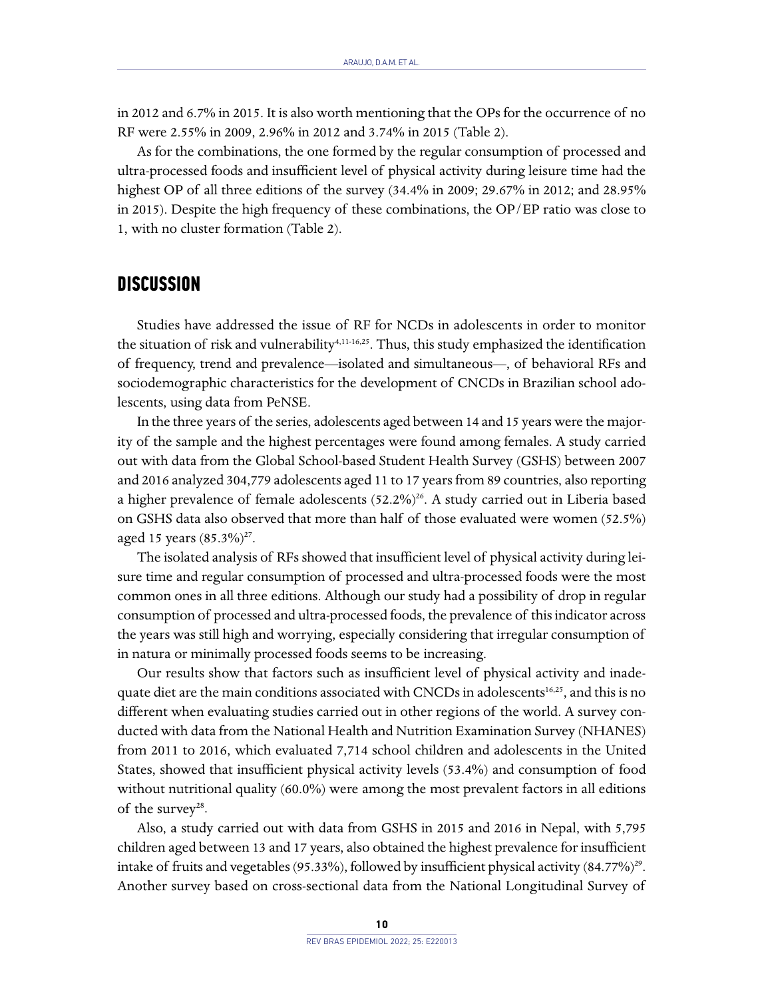in 2012 and 6.7% in 2015. It is also worth mentioning that the OPs for the occurrence of no RF were 2.55% in 2009, 2.96% in 2012 and 3.74% in 2015 (Table 2).

As for the combinations, the one formed by the regular consumption of processed and ultra-processed foods and insufficient level of physical activity during leisure time had the highest OP of all three editions of the survey (34.4% in 2009; 29.67% in 2012; and 28.95% in 2015). Despite the high frequency of these combinations, the OP/EP ratio was close to 1, with no cluster formation (Table 2).

#### **DISCUSSION**

Studies have addressed the issue of RF for NCDs in adolescents in order to monitor the situation of risk and vulnerability<sup>4,11-16,25</sup>. Thus, this study emphasized the identification of frequency, trend and prevalence—isolated and simultaneous—, of behavioral RFs and sociodemographic characteristics for the development of CNCDs in Brazilian school adolescents, using data from PeNSE.

In the three years of the series, adolescents aged between 14 and 15 years were the majority of the sample and the highest percentages were found among females. A study carried out with data from the Global School-based Student Health Survey (GSHS) between 2007 and 2016 analyzed 304,779 adolescents aged 11 to 17 years from 89 countries, also reporting a higher prevalence of female adolescents  $(52.2\%)^{26}$ . A study carried out in Liberia based on GSHS data also observed that more than half of those evaluated were women (52.5%) aged 15 years  $(85.3\%)^{27}$ .

The isolated analysis of RFs showed that insufficient level of physical activity during leisure time and regular consumption of processed and ultra-processed foods were the most common ones in all three editions. Although our study had a possibility of drop in regular consumption of processed and ultra-processed foods, the prevalence of this indicator across the years was still high and worrying, especially considering that irregular consumption of in natura or minimally processed foods seems to be increasing.

Our results show that factors such as insufficient level of physical activity and inadequate diet are the main conditions associated with CNCDs in adolescents<sup>16,25</sup>, and this is no different when evaluating studies carried out in other regions of the world. A survey conducted with data from the National Health and Nutrition Examination Survey (NHANES) from 2011 to 2016, which evaluated 7,714 school children and adolescents in the United States, showed that insufficient physical activity levels (53.4%) and consumption of food without nutritional quality (60.0%) were among the most prevalent factors in all editions of the survey<sup>28</sup>.

Also, a study carried out with data from GSHS in 2015 and 2016 in Nepal, with 5,795 children aged between 13 and 17 years, also obtained the highest prevalence for insufficient intake of fruits and vegetables (95.33%), followed by insufficient physical activity (84.77%)<sup>29</sup>. Another survey based on cross-sectional data from the National Longitudinal Survey of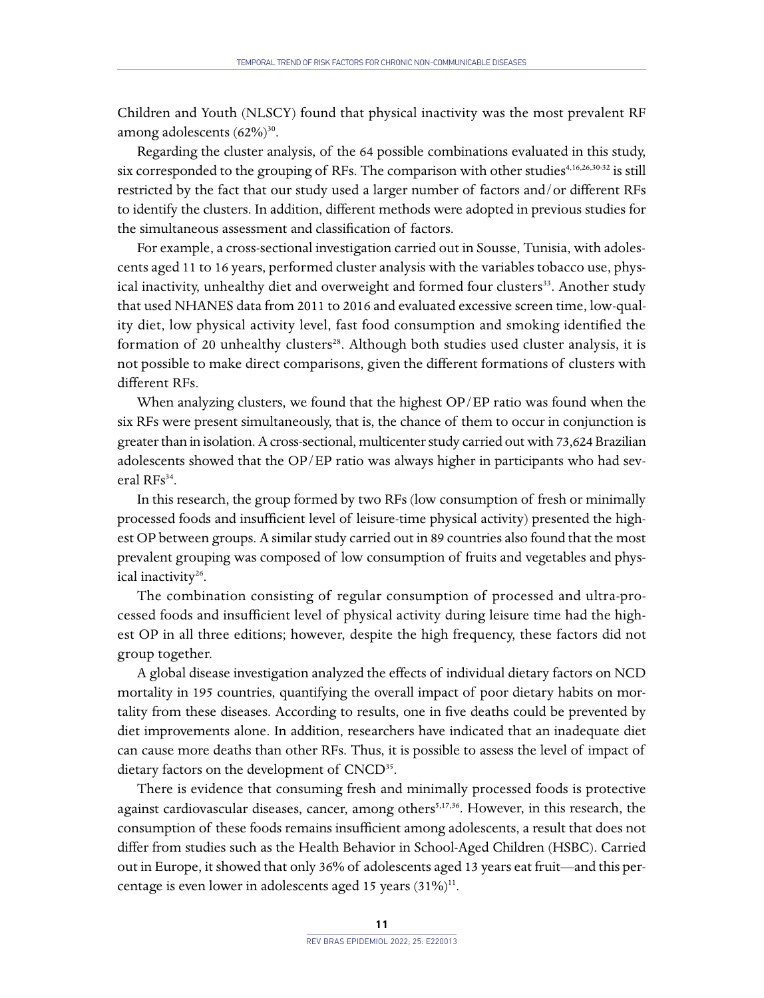Children and Youth (NLSCY) found that physical inactivity was the most prevalent RF among adolescents  $(62\%)^{30}$ .

Regarding the cluster analysis, of the 64 possible combinations evaluated in this study, six corresponded to the grouping of RFs. The comparison with other studies $4,16,26,30-32$  is still restricted by the fact that our study used a larger number of factors and/or different RFs to identify the clusters. In addition, different methods were adopted in previous studies for the simultaneous assessment and classification of factors.

For example, a cross-sectional investigation carried out in Sousse, Tunisia, with adolescents aged 11 to 16 years, performed cluster analysis with the variables tobacco use, physical inactivity, unhealthy diet and overweight and formed four clusters<sup>33</sup>. Another study that used NHANES data from 2011 to 2016 and evaluated excessive screen time, low-quality diet, low physical activity level, fast food consumption and smoking identified the formation of 20 unhealthy clusters<sup>28</sup>. Although both studies used cluster analysis, it is not possible to make direct comparisons, given the different formations of clusters with different RFs.

When analyzing clusters, we found that the highest OP/EP ratio was found when the six RFs were present simultaneously, that is, the chance of them to occur in conjunction is greater than in isolation. A cross-sectional, multicenter study carried out with 73,624 Brazilian adolescents showed that the OP/EP ratio was always higher in participants who had several RFs<sup>34</sup>.

In this research, the group formed by two RFs (low consumption of fresh or minimally processed foods and insufficient level of leisure-time physical activity) presented the highest OP between groups. A similar study carried out in 89 countries also found that the most prevalent grouping was composed of low consumption of fruits and vegetables and physical inactivity<sup>26</sup>.

The combination consisting of regular consumption of processed and ultra-processed foods and insufficient level of physical activity during leisure time had the highest OP in all three editions; however, despite the high frequency, these factors did not group together.

A global disease investigation analyzed the effects of individual dietary factors on NCD mortality in 195 countries, quantifying the overall impact of poor dietary habits on mortality from these diseases. According to results, one in five deaths could be prevented by diet improvements alone. In addition, researchers have indicated that an inadequate diet can cause more deaths than other RFs. Thus, it is possible to assess the level of impact of dietary factors on the development of CNCD<sup>35</sup>.

There is evidence that consuming fresh and minimally processed foods is protective against cardiovascular diseases, cancer, among others<sup>5,17,36</sup>. However, in this research, the consumption of these foods remains insufficient among adolescents, a result that does not differ from studies such as the Health Behavior in School-Aged Children (HSBC). Carried out in Europe, it showed that only 36% of adolescents aged 13 years eat fruit—and this percentage is even lower in adolescents aged 15 years  $(31\%)^{11}$ .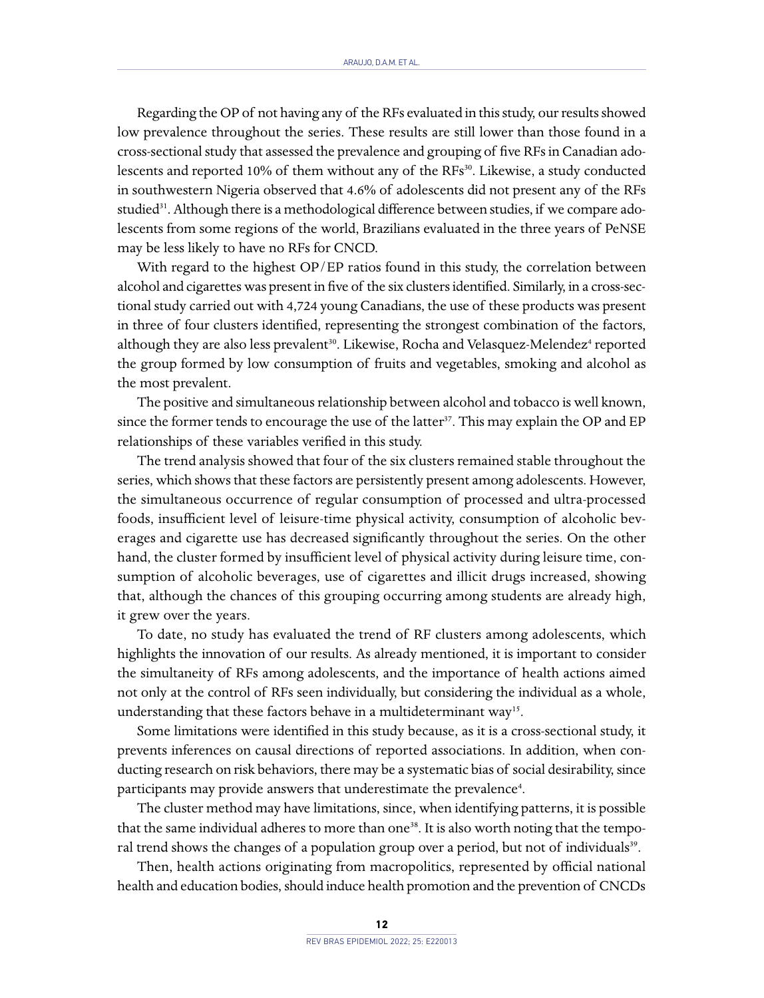Regarding the OP of not having any of the RFs evaluated in this study, our results showed low prevalence throughout the series. These results are still lower than those found in a cross-sectional study that assessed the prevalence and grouping of five RFs in Canadian adolescents and reported 10% of them without any of the RFs<sup>30</sup>. Likewise, a study conducted in southwestern Nigeria observed that 4.6% of adolescents did not present any of the RFs studied<sup>31</sup>. Although there is a methodological difference between studies, if we compare adolescents from some regions of the world, Brazilians evaluated in the three years of PeNSE may be less likely to have no RFs for CNCD.

With regard to the highest OP/EP ratios found in this study, the correlation between alcohol and cigarettes was present in five of the six clusters identified. Similarly, in a cross-sectional study carried out with 4,724 young Canadians, the use of these products was present in three of four clusters identified, representing the strongest combination of the factors, although they are also less prevalent<sup>30</sup>. Likewise, Rocha and Velasquez-Melendez<sup>4</sup> reported the group formed by low consumption of fruits and vegetables, smoking and alcohol as the most prevalent.

The positive and simultaneous relationship between alcohol and tobacco is well known, since the former tends to encourage the use of the latter<sup>37</sup>. This may explain the OP and EP relationships of these variables verified in this study.

The trend analysis showed that four of the six clusters remained stable throughout the series, which shows that these factors are persistently present among adolescents. However, the simultaneous occurrence of regular consumption of processed and ultra-processed foods, insufficient level of leisure-time physical activity, consumption of alcoholic beverages and cigarette use has decreased significantly throughout the series. On the other hand, the cluster formed by insufficient level of physical activity during leisure time, consumption of alcoholic beverages, use of cigarettes and illicit drugs increased, showing that, although the chances of this grouping occurring among students are already high, it grew over the years.

To date, no study has evaluated the trend of RF clusters among adolescents, which highlights the innovation of our results. As already mentioned, it is important to consider the simultaneity of RFs among adolescents, and the importance of health actions aimed not only at the control of RFs seen individually, but considering the individual as a whole, understanding that these factors behave in a multideterminant way<sup>15</sup>.

Some limitations were identified in this study because, as it is a cross-sectional study, it prevents inferences on causal directions of reported associations. In addition, when conducting research on risk behaviors, there may be a systematic bias of social desirability, since participants may provide answers that underestimate the prevalence<sup>4</sup>.

The cluster method may have limitations, since, when identifying patterns, it is possible that the same individual adheres to more than one<sup>38</sup>. It is also worth noting that the temporal trend shows the changes of a population group over a period, but not of individuals<sup>39</sup>.

Then, health actions originating from macropolitics, represented by official national health and education bodies, should induce health promotion and the prevention of CNCDs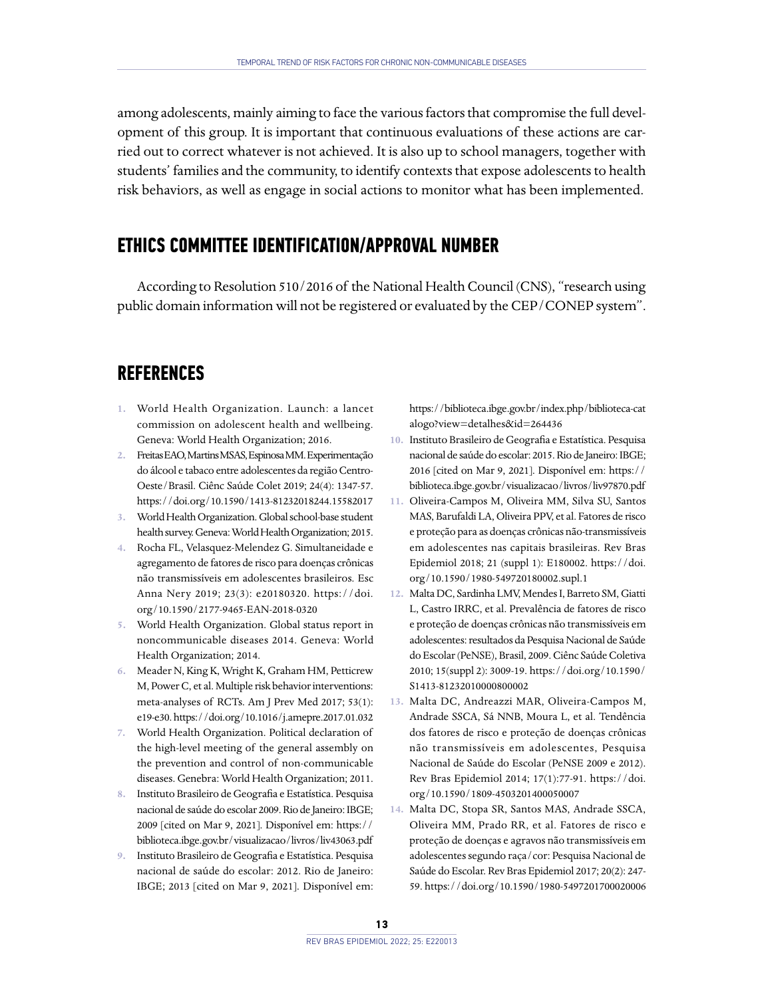among adolescents, mainly aiming to face the various factors that compromise the full development of this group. It is important that continuous evaluations of these actions are carried out to correct whatever is not achieved. It is also up to school managers, together with students' families and the community, to identify contexts that expose adolescents to health risk behaviors, as well as engage in social actions to monitor what has been implemented.

# **ETHICS COMMITTEE IDENTIFICATION/APPROVAL NUMBER**

According to Resolution 510/2016 of the National Health Council (CNS), "research using public domain information will not be registered or evaluated by the CEP/CONEP system".

## **REFERENCES**

- **1.** World Health Organization. Launch: a lancet commission on adolescent health and wellbeing. Geneva: World Health Organization; 2016.
- **2.** Freitas EAO, Martins MSAS, Espinosa MM. Experimentação do álcool e tabaco entre adolescentes da região Centro-Oeste/Brasil. Ciênc Saúde Colet 2019; 24(4): 1347-57. <https://doi.org/10.1590/1413-81232018244.15582017>
- **3.** World Health Organization. Global school-base student health survey. Geneva: World Health Organization; 2015.
- **4.** Rocha FL, Velasquez-Melendez G. Simultaneidade e agregamento de fatores de risco para doenças crônicas não transmissíveis em adolescentes brasileiros. Esc Anna Nery 2019; 23(3): e20180320. [https://doi.](https://doi.org/10.1590/2177-9465-EAN-2018-0320) [org/10.1590/2177-9465-EAN-2018-0320](https://doi.org/10.1590/2177-9465-EAN-2018-0320)
- **5.** World Health Organization. Global status report in noncommunicable diseases 2014. Geneva: World Health Organization; 2014.
- **6.** Meader N, King K, Wright K, Graham HM, Petticrew M, Power C, et al. Multiple risk behavior interventions: meta-analyses of RCTs. Am J Prev Med 2017; 53(1): e19-e30.<https://doi.org/10.1016/j.amepre.2017.01.032>
- **7.** World Health Organization. Political declaration of the high-level meeting of the general assembly on the prevention and control of non-communicable diseases. Genebra: World Health Organization; 2011.
- **8.** Instituto Brasileiro de Geografia e Estatística. Pesquisa nacional de saúde do escolar 2009. Rio de Janeiro: IBGE; 2009 [cited on Mar 9, 2021]. Disponível em: [https://](https://biblioteca.ibge.gov.br/visualizacao/livros/liv43063.pdf) [biblioteca.ibge.gov.br/visualizacao/livros/liv43063.pdf](https://biblioteca.ibge.gov.br/visualizacao/livros/liv43063.pdf)
- **9.** Instituto Brasileiro de Geografia e Estatística. Pesquisa nacional de saúde do escolar: 2012. Rio de Janeiro: IBGE; 2013 [cited on Mar 9, 2021]. Disponível em:

[https://biblioteca.ibge.gov.br/index.php/biblioteca-cat](https://biblioteca.ibge.gov.br/index.php/biblioteca-catalogo?view=detalhes&id=264436) [alogo?view=detalhes&id=264436](https://biblioteca.ibge.gov.br/index.php/biblioteca-catalogo?view=detalhes&id=264436)

- **10.** Instituto Brasileiro de Geografia e Estatística. Pesquisa nacional de saúde do escolar: 2015. Rio de Janeiro: IBGE; 2016 [cited on Mar 9, 2021]. Disponível em: [https://](https://biblioteca.ibge.gov.br/visualizacao/livros/liv97870.pdf) [biblioteca.ibge.gov.br/visualizacao/livros/liv97870.pdf](https://biblioteca.ibge.gov.br/visualizacao/livros/liv97870.pdf)
- **11.** Oliveira-Campos M, Oliveira MM, Silva SU, Santos MAS, Barufaldi LA, Oliveira PPV, et al. Fatores de risco e proteção para as doenças crônicas não-transmissíveis em adolescentes nas capitais brasileiras. Rev Bras Epidemiol 2018; 21 (suppl 1): E180002. [https://doi.](https://doi.org/10.1590/1980-549720180002.supl.1) [org/10.1590/1980-549720180002.supl.1](https://doi.org/10.1590/1980-549720180002.supl.1)
- **12.** Malta DC, Sardinha LMV, Mendes I, Barreto SM, Giatti L, Castro IRRC, et al. Prevalência de fatores de risco e proteção de doenças crônicas não transmissíveis em adolescentes: resultados da Pesquisa Nacional de Saúde do Escolar (PeNSE), Brasil, 2009. Ciênc Saúde Coletiva 2010; 15(suppl 2): 3009-19. [https://doi.org/10.1590/](https://doi.org/10.1590/S1413-81232010000800002) [S1413-81232010000800002](https://doi.org/10.1590/S1413-81232010000800002)
- **13.** Malta DC, Andreazzi MAR, Oliveira-Campos M, Andrade SSCA, Sá NNB, Moura L, et al. Tendência dos fatores de risco e proteção de doenças crônicas não transmissíveis em adolescentes, Pesquisa Nacional de Saúde do Escolar (PeNSE 2009 e 2012). Rev Bras Epidemiol 2014; 17(1):77-91. [https://doi.](https://doi.org/10.1590/1809-4503201400050007) [org/10.1590/1809-4503201400050007](https://doi.org/10.1590/1809-4503201400050007)
- **14.** Malta DC, Stopa SR, Santos MAS, Andrade SSCA, Oliveira MM, Prado RR, et al. Fatores de risco e proteção de doenças e agravos não transmissíveis em adolescentes segundo raça/cor: Pesquisa Nacional de Saúde do Escolar. Rev Bras Epidemiol 2017; 20(2): 247- 59. <https://doi.org/10.1590/1980-5497201700020006>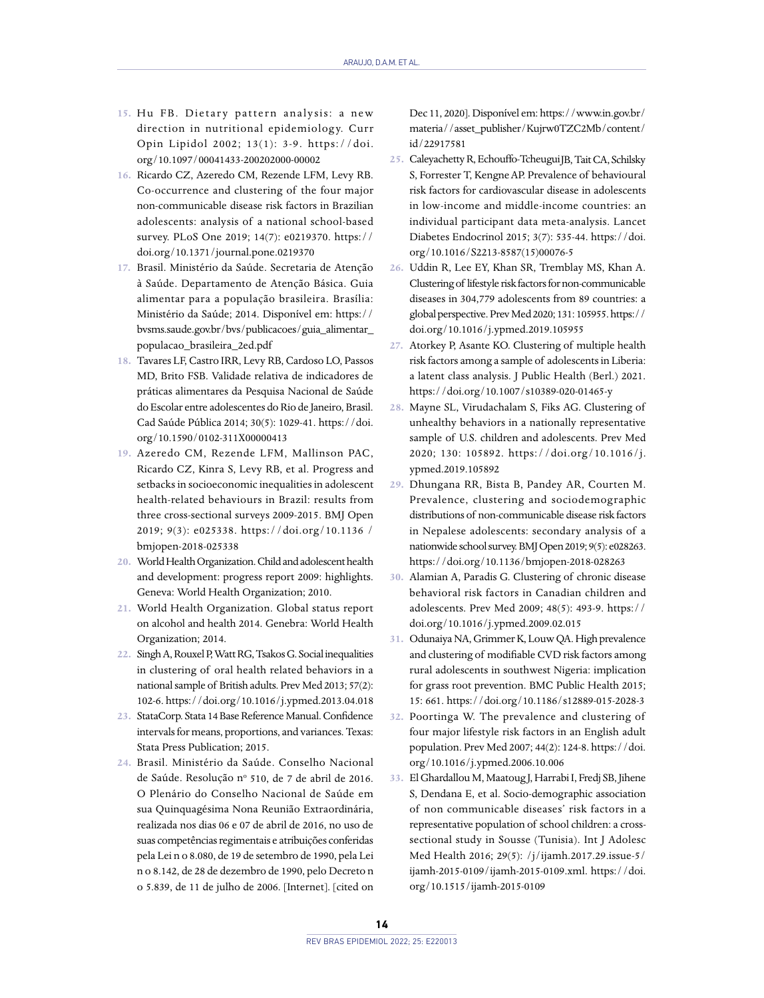- 15. Hu FB. Dietary pattern analysis: a new direction in nutritional epidemiology. Curr Opin Lipidol 2002; 13(1): 3-9. [https://doi.](https://doi.org/10.1097/00041433-200202000-00002) [org/10.1097/00041433-200202000-00002](https://doi.org/10.1097/00041433-200202000-00002)
- **16.** Ricardo CZ, Azeredo CM, Rezende LFM, Levy RB. Co-occurrence and clustering of the four major non-communicable disease risk factors in Brazilian adolescents: analysis of a national school-based survey. PLoS One 2019; 14(7): e0219370. [https://](https://doi.org/10.1371/journal.pone.0219370) [doi.org/10.1371/journal.pone.0219370](https://doi.org/10.1371/journal.pone.0219370)
- **17.** Brasil. Ministério da Saúde. Secretaria de Atenção à Saúde. Departamento de Atenção Básica. Guia alimentar para a população brasileira. Brasília: Ministério da Saúde; 2014. Disponível em: [https://](https://bvsms.saude.gov.br/bvs/publicacoes/guia_alimentar_populacao_brasileira_2ed.pdf) [bvsms.saude.gov.br/bvs/publicacoes/guia\\_alimentar\\_](https://bvsms.saude.gov.br/bvs/publicacoes/guia_alimentar_populacao_brasileira_2ed.pdf) [populacao\\_brasileira\\_2ed.pdf](https://bvsms.saude.gov.br/bvs/publicacoes/guia_alimentar_populacao_brasileira_2ed.pdf)
- **18.** Tavares LF, Castro IRR, Levy RB, Cardoso LO, Passos MD, Brito FSB. Validade relativa de indicadores de práticas alimentares da Pesquisa Nacional de Saúde do Escolar entre adolescentes do Rio de Janeiro, Brasil. Cad Saúde Pública 2014; 30(5): 1029-41. [https://doi.](https://doi.org/10.1590/0102-311X00000413) [org/10.1590/0102-311X00000413](https://doi.org/10.1590/0102-311X00000413)
- **19.** Azeredo CM, Rezende LFM, Mallinson PAC, Ricardo CZ, Kinra S, Levy RB, et al. Progress and setbacks in socioeconomic inequalities in adolescent health-related behaviours in Brazil: results from three cross-sectional surveys 2009-2015. BMJ Open 2019; 9(3): e025338. <https://doi.org/10.1136> / bmjopen-2018-025338
- **20.** World Health Organization. Child and adolescent health and development: progress report 2009: highlights. Geneva: World Health Organization; 2010.
- **21.** World Health Organization. Global status report on alcohol and health 2014. Genebra: World Health Organization; 2014.
- **22.** Singh A, Rouxel P, Watt RG, Tsakos G. Social inequalities in clustering of oral health related behaviors in a national sample of British adults. Prev Med 2013; 57(2): 102-6.<https://doi.org/10.1016/j.ypmed.2013.04.018>
- **23.** StataCorp. Stata 14 Base Reference Manual. Confidence intervals for means, proportions, and variances. Texas: Stata Press Publication; 2015.
- **24.** Brasil. Ministério da Saúde. Conselho Nacional de Saúde. Resolução nº 510, de 7 de abril de 2016. O Plenário do Conselho Nacional de Saúde em sua Quinquagésima Nona Reunião Extraordinária, realizada nos dias 06 e 07 de abril de 2016, no uso de suas competências regimentais e atribuições conferidas pela Lei n o 8.080, de 19 de setembro de 1990, pela Lei n o 8.142, de 28 de dezembro de 1990, pelo Decreto n o 5.839, de 11 de julho de 2006. [Internet]. [cited on

Dec 11, 2020]. Disponível em: [https://www.in.gov.br/](https://www.in.gov.br/materia//asset_publisher/Kujrw0TZC2Mb/content/id/22917581) [materia//asset\\_publisher/Kujrw0TZC2Mb/content/](https://www.in.gov.br/materia//asset_publisher/Kujrw0TZC2Mb/content/id/22917581) [id/22917581](https://www.in.gov.br/materia//asset_publisher/Kujrw0TZC2Mb/content/id/22917581)

- **25.** Caleyachetty R, Echouffo-TcheuguiJB, Tait CA, Schilsky S, Forrester T, Kengne AP. Prevalence of behavioural risk factors for cardiovascular disease in adolescents in low-income and middle-income countries: an individual participant data meta-analysis. Lancet Diabetes Endocrinol 2015; 3(7): 535-44. [https://doi.](https://doi.org/10.1016/S2213-8587(15)00076-5) [org/10.1016/S2213-8587\(15\)00076-5](https://doi.org/10.1016/S2213-8587(15)00076-5)
- **26.** Uddin R, Lee EY, Khan SR, Tremblay MS, Khan A. Clustering of lifestyle risk factors for non-communicable diseases in 304,779 adolescents from 89 countries: a global perspective. Prev Med 2020; 131: 105955. [https://](https://doi.org/10.1016/j.ypmed.2019.105955) [doi.org/10.1016/j.ypmed.2019.105955](https://doi.org/10.1016/j.ypmed.2019.105955)
- **27.** Atorkey P, Asante KO. Clustering of multiple health risk factors among a sample of adolescents in Liberia: a latent class analysis. J Public Health (Berl.) 2021. <https://doi.org/10.1007/s10389-020-01465-y>
- **28.** Mayne SL, Virudachalam S, Fiks AG. Clustering of unhealthy behaviors in a nationally representative sample of U.S. children and adolescents. Prev Med 2020; 130: 105892. [https://doi.org/10.1016/j.](https://doi.org/10.1016/j.ypmed.2019.105892) [ypmed.2019.105892](https://doi.org/10.1016/j.ypmed.2019.105892)
- **29.** Dhungana RR, Bista B, Pandey AR, Courten M. Prevalence, clustering and sociodemographic distributions of non-communicable disease risk factors in Nepalese adolescents: secondary analysis of a nationwide school survey. BMJ Open 2019; 9(5): e028263. <https://doi.org/10.1136/bmjopen-2018-028263>
- **30.** Alamian A, Paradis G. Clustering of chronic disease behavioral risk factors in Canadian children and adolescents. Prev Med 2009; 48(5): 493-9. [https://](https://doi.org/10.1016/j.ypmed.2009.02.015) [doi.org/10.1016/j.ypmed.2009.02.015](https://doi.org/10.1016/j.ypmed.2009.02.015)
- **31.** Odunaiya NA, Grimmer K, Louw QA. High prevalence and clustering of modifiable CVD risk factors among rural adolescents in southwest Nigeria: implication for grass root prevention. BMC Public Health 2015; 15: 661.<https://doi.org/10.1186/s12889-015-2028-3>
- **32.** Poortinga W. The prevalence and clustering of four major lifestyle risk factors in an English adult population. Prev Med 2007; 44(2): 124-8. [https://doi.](https://doi.org/10.1016/j.ypmed.2006.10.006) [org/10.1016/j.ypmed.2006.10.006](https://doi.org/10.1016/j.ypmed.2006.10.006)
- **33.** El Ghardallou M, Maatoug J, Harrabi I, Fredj SB, Jihene S, Dendana E, et al. Socio-demographic association of non communicable diseases' risk factors in a representative population of school children: a crosssectional study in Sousse (Tunisia). Int J Adolesc Med Health 2016; 29(5): /j/ijamh.2017.29.issue-5/ ijamh-2015-0109/ijamh-2015-0109.xml. [https://doi.](https://doi.org/10.1515/ijamh-2015-0109) [org/10.1515/ijamh-2015-0109](https://doi.org/10.1515/ijamh-2015-0109)